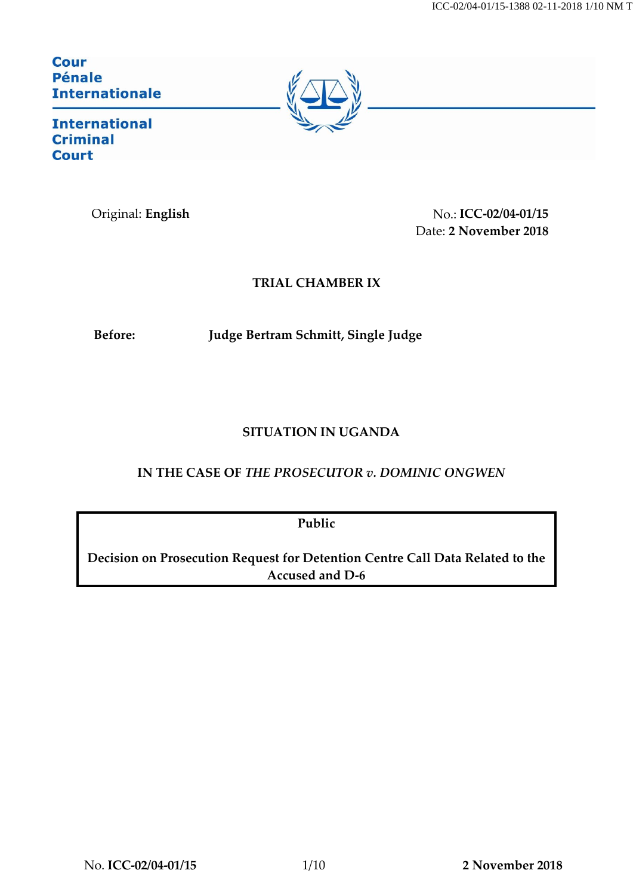**Cour Pénale Internationale** 



**International Criminal Court** 

Original: **English** No.: **ICC-02/04-01/15** Date: **2 November 2018**

# **TRIAL CHAMBER IX**

**Before: Judge Bertram Schmitt, Single Judge**

# **SITUATION IN UGANDA**

# **IN THE CASE OF** *THE PROSECUTOR v. DOMINIC ONGWEN*

**Public**

**Decision on Prosecution Request for Detention Centre Call Data Related to the Accused and D-6**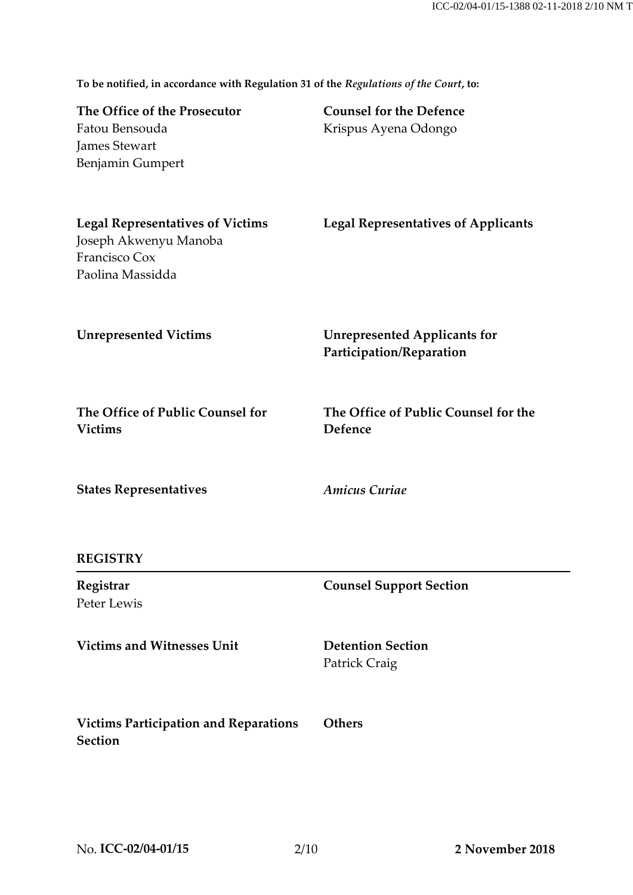**To be notified, in accordance with Regulation 31 of the** *Regulations of the Court***, to: The Office of the Prosecutor Counsel for the Defence**

| The Office of the Froscentor<br>Fatou Bensouda<br>James Stewart<br>Benjamin Gumpert                   | Counsel for the Detence<br>Krispus Ayena Odongo                 |
|-------------------------------------------------------------------------------------------------------|-----------------------------------------------------------------|
| <b>Legal Representatives of Victims</b><br>Joseph Akwenyu Manoba<br>Francisco Cox<br>Paolina Massidda | <b>Legal Representatives of Applicants</b>                      |
| <b>Unrepresented Victims</b>                                                                          | <b>Unrepresented Applicants for</b><br>Participation/Reparation |
| The Office of Public Counsel for<br><b>Victims</b>                                                    | The Office of Public Counsel for the<br>Defence                 |
| <b>States Representatives</b>                                                                         | <b>Amicus Curiae</b>                                            |
| <b>REGISTRY</b>                                                                                       |                                                                 |
| Registrar<br>Peter Lewis                                                                              | <b>Counsel Support Section</b>                                  |
| <b>Victims and Witnesses Unit</b>                                                                     | <b>Detention Section</b><br>Patrick Craig                       |
| <b>Victims Participation and Reparations</b><br><b>Section</b>                                        | <b>Others</b>                                                   |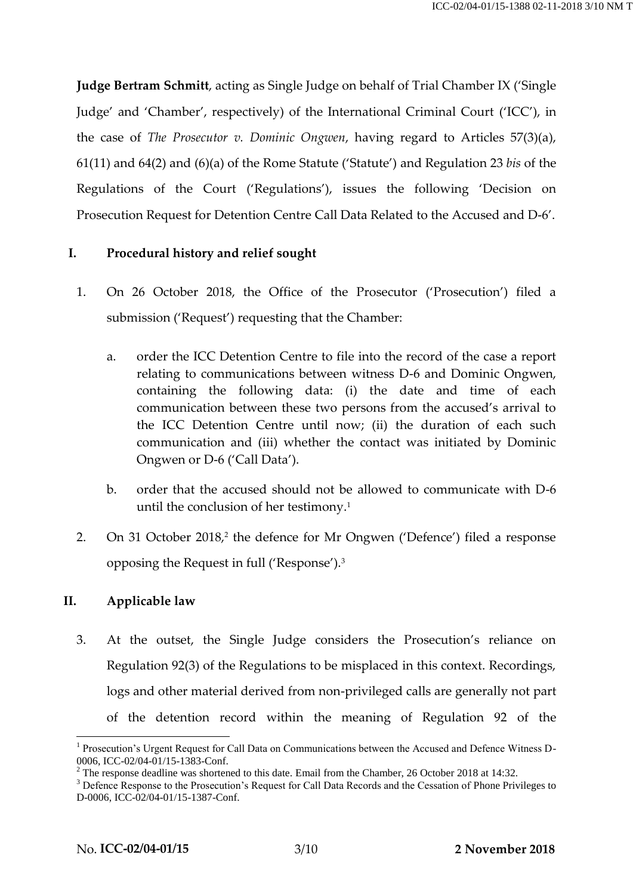**Judge Bertram Schmitt**, acting as Single Judge on behalf of Trial Chamber IX ('Single Judge' and 'Chamber', respectively) of the International Criminal Court ('ICC'), in the case of *The Prosecutor v. Dominic Ongwen*, having regard to Articles 57(3)(a), 61(11) and 64(2) and (6)(a) of the Rome Statute ('Statute') and Regulation 23 *bis* of the Regulations of the Court ('Regulations'), issues the following 'Decision on Prosecution Request for Detention Centre Call Data Related to the Accused and D-6'.

## **I. Procedural history and relief sought**

- 1. On 26 October 2018, the Office of the Prosecutor ('Prosecution') filed a submission ('Request') requesting that the Chamber:
	- a. order the ICC Detention Centre to file into the record of the case a report relating to communications between witness D-6 and Dominic Ongwen, containing the following data: (i) the date and time of each communication between these two persons from the accused's arrival to the ICC Detention Centre until now; (ii) the duration of each such communication and (iii) whether the contact was initiated by Dominic Ongwen or D-6 ('Call Data').
	- b. order that the accused should not be allowed to communicate with D-6 until the conclusion of her testimony.<sup>1</sup>
- 2. On 31 October 2018,<sup>2</sup> the defence for Mr Ongwen ('Defence') filed a response opposing the Request in full ('Response').<sup>3</sup>

## <span id="page-2-0"></span>**II. Applicable law**

3. At the outset, the Single Judge considers the Prosecution's reliance on Regulation 92(3) of the Regulations to be misplaced in this context. Recordings, logs and other material derived from non-privileged calls are generally not part of the detention record within the meaning of Regulation 92 of the

<sup>&</sup>lt;sup>1</sup> Prosecution's Urgent Request for Call Data on Communications between the Accused and Defence Witness D-0006, ICC-02/04-01/15-1383-Conf.

 $2$  The response deadline was shortened to this date. Email from the Chamber, 26 October 2018 at 14:32.

<sup>&</sup>lt;sup>3</sup> Defence Response to the Prosecution's Request for Call Data Records and the Cessation of Phone Privileges to D-0006, ICC-02/04-01/15-1387-Conf.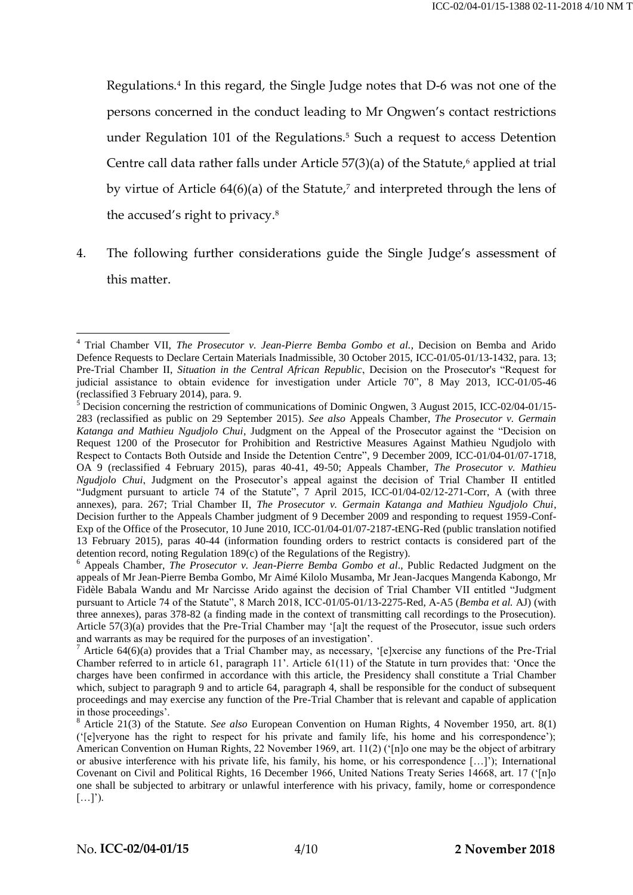Regulations. 4 In this regard, the Single Judge notes that D-6 was not one of the persons concerned in the conduct leading to Mr Ongwen's contact restrictions under Regulation 101 of the Regulations.<sup>5</sup> Such a request to access Detention Centre call data rather falls under Article  $57(3)(a)$  of the Statute,<sup>6</sup> applied at trial by virtue of Article 64(6)(a) of the Statute, <sup>7</sup> and interpreted through the lens of the accused's right to privacy.<sup>8</sup>

4. The following further considerations guide the Single Judge's assessment of this matter.

<sup>4</sup> Trial Chamber VII, *The Prosecutor v. Jean-Pierre Bemba Gombo et al.*, Decision on Bemba and Arido Defence Requests to Declare Certain Materials Inadmissible, 30 October 2015, ICC-01/05-01/13-1432, para. 13; Pre-Trial Chamber II, *Situation in the Central African Republic*, Decision on the Prosecutor's "Request for judicial assistance to obtain evidence for investigation under Article 70", 8 May 2013, ICC-01/05-46 (reclassified 3 February 2014), para. 9.

<sup>5</sup> Decision concerning the restriction of communications of Dominic Ongwen, 3 August 2015, ICC-02/04-01/15- 283 (reclassified as public on 29 September 2015). *See also* Appeals Chamber, *The Prosecutor v. Germain Katanga and Mathieu Ngudjolo Chui*, Judgment on the Appeal of the Prosecutor against the "Decision on Request 1200 of the Prosecutor for Prohibition and Restrictive Measures Against Mathieu Ngudjolo with Respect to Contacts Both Outside and Inside the Detention Centre", 9 December 2009, ICC-01/04-01/07-1718, OA 9 (reclassified 4 February 2015), paras 40-41, 49-50; Appeals Chamber, *The Prosecutor v. Mathieu Ngudjolo Chui*, Judgment on the Prosecutor's appeal against the decision of Trial Chamber II entitled "Judgment pursuant to article 74 of the Statute", 7 April 2015, ICC-01/04-02/12-271-Corr, A (with three annexes), para. 267; Trial Chamber II, *The Prosecutor v. Germain Katanga and Mathieu Ngudjolo Chui*, Decision further to the Appeals Chamber judgment of 9 December 2009 and responding to request 1959-Conf-Exp of the Office of the Prosecutor, 10 June 2010, ICC-01/04-01/07-2187-tENG-Red (public translation notified 13 February 2015), paras 40-44 (information founding orders to restrict contacts is considered part of the detention record, noting Regulation 189(c) of the Regulations of the Registry).

<sup>6</sup> Appeals Chamber, *The Prosecutor v. Jean-Pierre Bemba Gombo et al*., Public Redacted Judgment on the appeals of Mr Jean-Pierre Bemba Gombo, Mr Aimé Kilolo Musamba, Mr Jean-Jacques Mangenda Kabongo, Mr Fidèle Babala Wandu and Mr Narcisse Arido against the decision of Trial Chamber VII entitled "Judgment pursuant to Article 74 of the Statute", 8 March 2018, ICC-01/05-01/13-2275-Red, A-A5 (*Bemba et al.* AJ) (with three annexes), paras 378-82 (a finding made in the context of transmitting call recordings to the Prosecution). Article 57(3)(a) provides that the Pre-Trial Chamber may '[a]t the request of the Prosecutor, issue such orders and warrants as may be required for the purposes of an investigation'.

<sup>&</sup>lt;sup>7</sup> Article 64(6)(a) provides that a Trial Chamber may, as necessary, '[e]xercise any functions of the Pre-Trial Chamber referred to in article 61, paragraph 11'. Article 61(11) of the Statute in turn provides that: 'Once the charges have been confirmed in accordance with this article, the Presidency shall constitute a Trial Chamber which, subject to paragraph 9 and to article 64, paragraph 4, shall be responsible for the conduct of subsequent proceedings and may exercise any function of the Pre-Trial Chamber that is relevant and capable of application in those proceedings'.

<sup>8</sup> Article 21(3) of the Statute. *See also* European Convention on Human Rights, 4 November 1950, art. 8(1) ('[e]veryone has the right to respect for his private and family life, his home and his correspondence'); American Convention on Human Rights, 22 November 1969, art. 11(2) ('[n]o one may be the object of arbitrary or abusive interference with his private life, his family, his home, or his correspondence […]'); International Covenant on Civil and Political Rights*,* 16 December 1966, United Nations Treaty Series 14668, art. 17 ('[n]o one shall be subjected to arbitrary or unlawful interference with his privacy, family, home or correspondence  $[\ldots]$ ').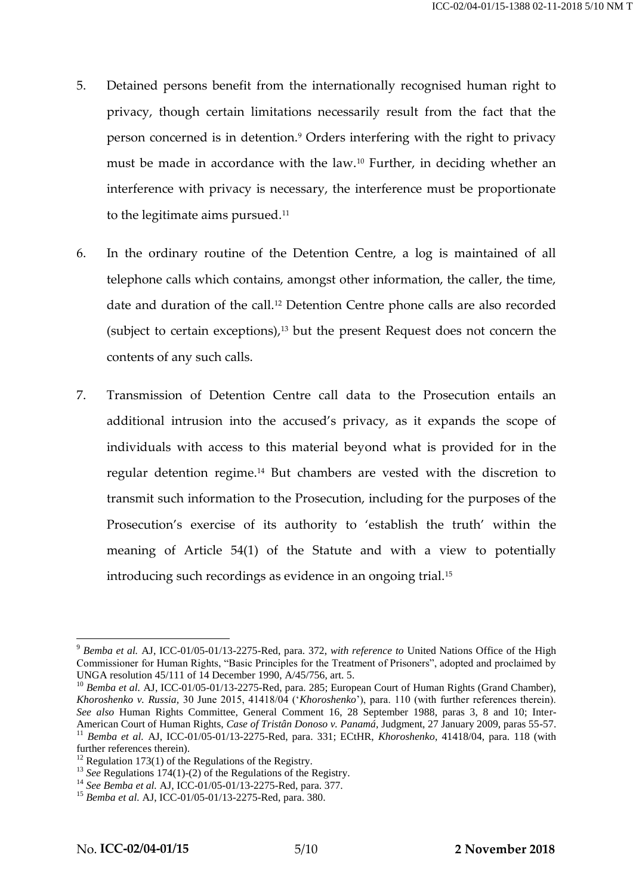- <span id="page-4-0"></span>5. Detained persons benefit from the internationally recognised human right to privacy, though certain limitations necessarily result from the fact that the person concerned is in detention.<sup>9</sup> Orders interfering with the right to privacy must be made in accordance with the law.<sup>10</sup> Further, in deciding whether an interference with privacy is necessary, the interference must be proportionate to the legitimate aims pursued.<sup>11</sup>
- 6. In the ordinary routine of the Detention Centre, a log is maintained of all telephone calls which contains, amongst other information, the caller, the time, date and duration of the call.<sup>12</sup> Detention Centre phone calls are also recorded (subject to certain exceptions), <sup>13</sup> but the present Request does not concern the contents of any such calls.
- 7. Transmission of Detention Centre call data to the Prosecution entails an additional intrusion into the accused's privacy, as it expands the scope of individuals with access to this material beyond what is provided for in the regular detention regime.<sup>14</sup> But chambers are vested with the discretion to transmit such information to the Prosecution, including for the purposes of the Prosecution's exercise of its authority to 'establish the truth' within the meaning of Article 54(1) of the Statute and with a view to potentially introducing such recordings as evidence in an ongoing trial.<sup>15</sup>

<sup>9</sup> *Bemba et al.* AJ, ICC-01/05-01/13-2275-Red, para. 372, *with reference to* United Nations Office of the High Commissioner for Human Rights, "Basic Principles for the Treatment of Prisoners", adopted and proclaimed by UNGA resolution 45/111 of 14 December 1990, A/45/756, art. 5.

<sup>&</sup>lt;sup>10</sup> *Bemba et al.* AJ, ICC-01/05-01/13-2275-Red, para. 285; European Court of Human Rights (Grand Chamber), *Khoroshenko v. Russia,* 30 June 2015, 41418/04 ('*Khoroshenko*'), para. 110 (with further references therein). *See also* Human Rights Committee, General Comment 16, 28 September 1988, paras 3, 8 and 10; Inter-American Court of Human Rights, *Case of Tristân Donoso v. Panamá,* Judgment, 27 January 2009, paras 55-57. <sup>11</sup> *Bemba et al.* AJ, ICC-01/05-01/13-2275-Red, para. 331; ECtHR, *Khoroshenko*, 41418/04, para. 118 (with further references therein).

 $12$  Regulation 173(1) of the Regulations of the Registry.

<sup>&</sup>lt;sup>13</sup> *See* Regulations 174(1)-(2) of the Regulations of the Registry.

<sup>14</sup> *See Bemba et al.* AJ, ICC-01/05-01/13-2275-Red, para. 377.

<sup>15</sup> *Bemba et al.* AJ, ICC-01/05-01/13-2275-Red, para. 380.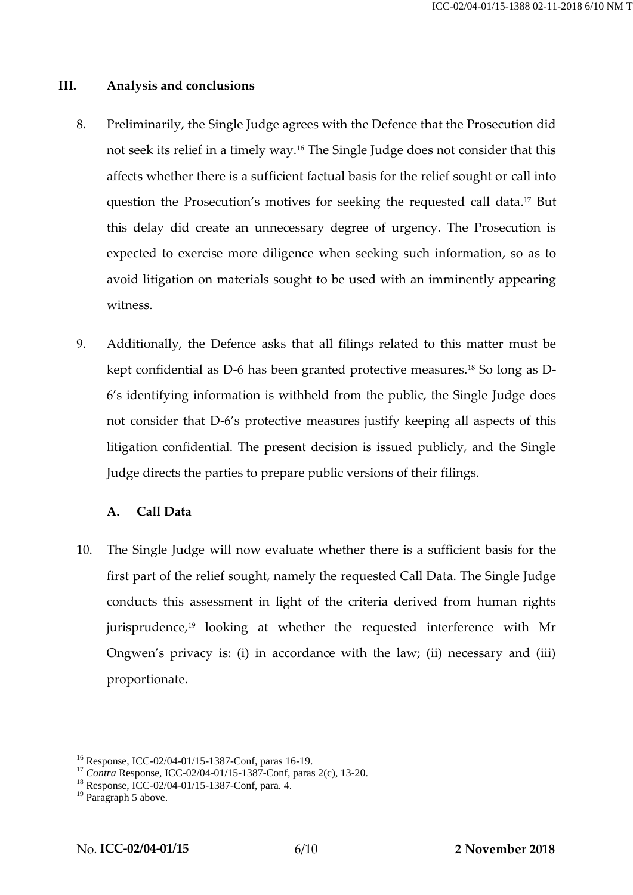## **III. Analysis and conclusions**

- 8. Preliminarily, the Single Judge agrees with the Defence that the Prosecution did not seek its relief in a timely way.<sup>16</sup> The Single Judge does not consider that this affects whether there is a sufficient factual basis for the relief sought or call into question the Prosecution's motives for seeking the requested call data. <sup>17</sup> But this delay did create an unnecessary degree of urgency. The Prosecution is expected to exercise more diligence when seeking such information, so as to avoid litigation on materials sought to be used with an imminently appearing witness.
- 9. Additionally, the Defence asks that all filings related to this matter must be kept confidential as D-6 has been granted protective measures.<sup>18</sup> So long as D-6's identifying information is withheld from the public, the Single Judge does not consider that D-6's protective measures justify keeping all aspects of this litigation confidential. The present decision is issued publicly, and the Single Judge directs the parties to prepare public versions of their filings.

### **A. Call Data**

10. The Single Judge will now evaluate whether there is a sufficient basis for the first part of the relief sought, namely the requested Call Data. The Single Judge conducts this assessment in light of the criteria derived from human rights jurisprudence,<sup>19</sup> looking at whether the requested interference with Mr Ongwen's privacy is: (i) in accordance with the law; (ii) necessary and (iii) proportionate.

<sup>&</sup>lt;u>.</u> <sup>16</sup> Response, ICC-02/04-01/15-1387-Conf, paras 16-19.

<sup>17</sup> *Contra* Response, ICC-02/04-01/15-1387-Conf, paras 2(c), 13-20.

<sup>18</sup> Response, ICC-02/04-01/15-1387-Conf, para. 4.

<sup>&</sup>lt;sup>19</sup> Paragraph [5](#page-4-0) above.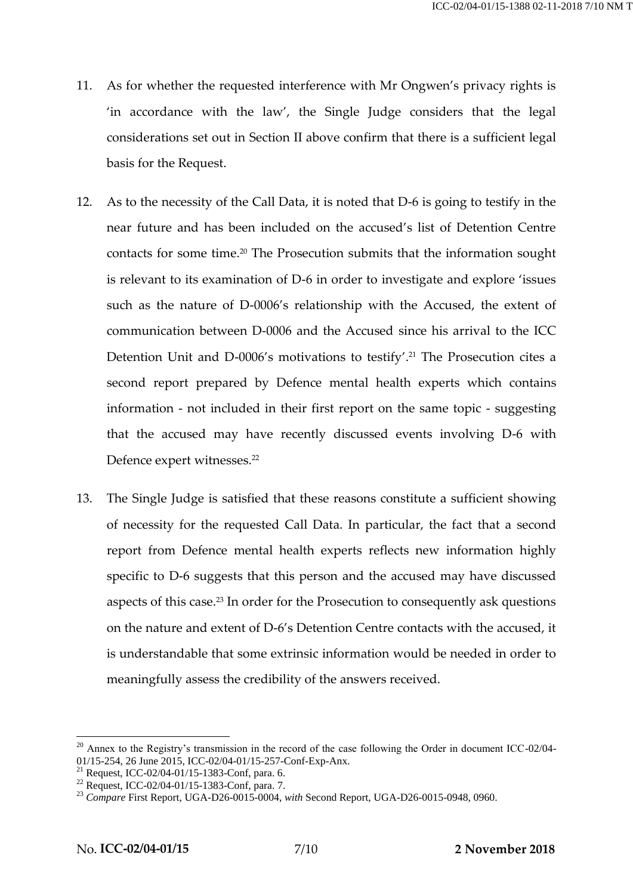- 11. As for whether the requested interference with Mr Ongwen's privacy rights is 'in accordance with the law', the Single Judge considers that the legal considerations set out in Section [II](#page-2-0) above confirm that there is a sufficient legal basis for the Request.
- <span id="page-6-0"></span>12. As to the necessity of the Call Data, it is noted that D-6 is going to testify in the near future and has been included on the accused's list of Detention Centre contacts for some time. <sup>20</sup> The Prosecution submits that the information sought is relevant to its examination of D-6 in order to investigate and explore 'issues such as the nature of D-0006's relationship with the Accused, the extent of communication between D-0006 and the Accused since his arrival to the ICC Detention Unit and D-0006's motivations to testify'. <sup>21</sup> The Prosecution cites a second report prepared by Defence mental health experts which contains information - not included in their first report on the same topic - suggesting that the accused may have recently discussed events involving D-6 with Defence expert witnesses.<sup>22</sup>
- 13. The Single Judge is satisfied that these reasons constitute a sufficient showing of necessity for the requested Call Data. In particular, the fact that a second report from Defence mental health experts reflects new information highly specific to D-6 suggests that this person and the accused may have discussed aspects of this case. <sup>23</sup> In order for the Prosecution to consequently ask questions on the nature and extent of D-6's Detention Centre contacts with the accused, it is understandable that some extrinsic information would be needed in order to meaningfully assess the credibility of the answers received.

<sup>&</sup>lt;sup>20</sup> Annex to the Registry's transmission in the record of the case following the Order in document ICC-02/04-01/15-254, 26 June 2015, ICC-02/04-01/15-257-Conf-Exp-Anx.

<sup>21</sup> Request, ICC-02/04-01/15-1383-Conf, para. 6.

<sup>22</sup> Request, ICC-02/04-01/15-1383-Conf, para. 7.

<sup>23</sup> *Compare* First Report, UGA-D26-0015-0004, *with* Second Report, UGA-D26-0015-0948, 0960.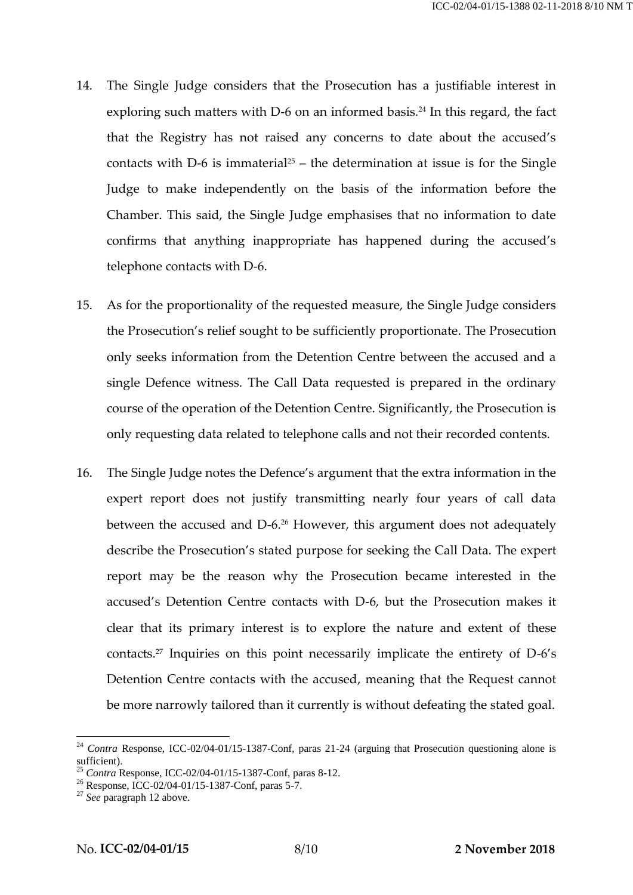- 14. The Single Judge considers that the Prosecution has a justifiable interest in exploring such matters with D-6 on an informed basis.<sup>24</sup> In this regard, the fact that the Registry has not raised any concerns to date about the accused's contacts with D-6 is immaterial<sup>25</sup> – the determination at issue is for the Single Judge to make independently on the basis of the information before the Chamber. This said, the Single Judge emphasises that no information to date confirms that anything inappropriate has happened during the accused's telephone contacts with D-6.
- 15. As for the proportionality of the requested measure, the Single Judge considers the Prosecution's relief sought to be sufficiently proportionate. The Prosecution only seeks information from the Detention Centre between the accused and a single Defence witness. The Call Data requested is prepared in the ordinary course of the operation of the Detention Centre. Significantly, the Prosecution is only requesting data related to telephone calls and not their recorded contents.
- 16. The Single Judge notes the Defence's argument that the extra information in the expert report does not justify transmitting nearly four years of call data between the accused and D-6.<sup>26</sup> However, this argument does not adequately describe the Prosecution's stated purpose for seeking the Call Data. The expert report may be the reason why the Prosecution became interested in the accused's Detention Centre contacts with D-6, but the Prosecution makes it clear that its primary interest is to explore the nature and extent of these contacts. <sup>27</sup> Inquiries on this point necessarily implicate the entirety of D-6's Detention Centre contacts with the accused, meaning that the Request cannot be more narrowly tailored than it currently is without defeating the stated goal.

<sup>&</sup>lt;sup>24</sup> *Contra* Response, ICC-02/04-01/15-1387-Conf, paras 21-24 (arguing that Prosecution questioning alone is sufficient).

<sup>25</sup> *Contra* Response, ICC-02/04-01/15-1387-Conf, paras 8-12.

<sup>26</sup> Response, ICC-02/04-01/15-1387-Conf, paras 5-7.

<sup>27</sup> *See* paragraph [12](#page-6-0) above.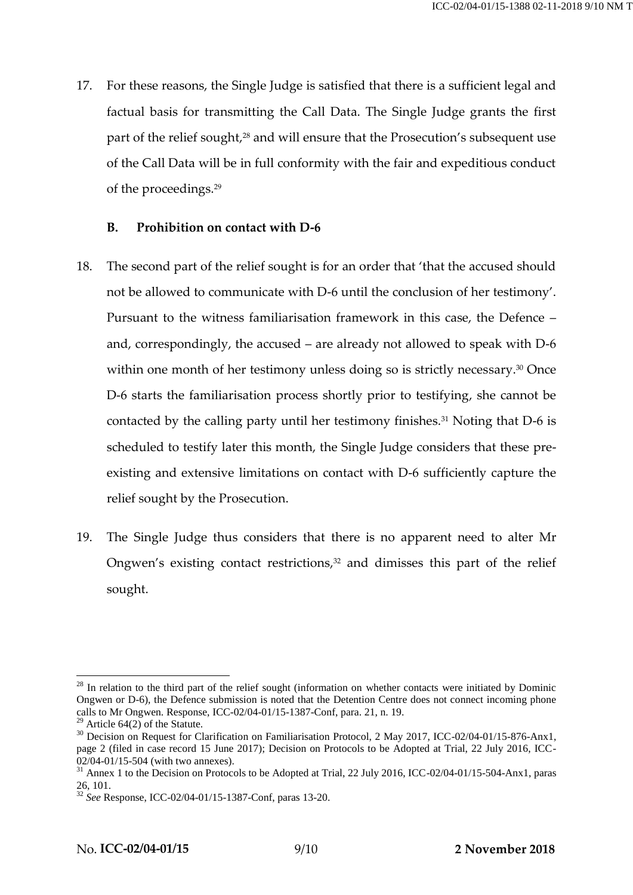17. For these reasons, the Single Judge is satisfied that there is a sufficient legal and factual basis for transmitting the Call Data. The Single Judge grants the first part of the relief sought,<sup>28</sup> and will ensure that the Prosecution's subsequent use of the Call Data will be in full conformity with the fair and expeditious conduct of the proceedings.<sup>29</sup>

### **B. Prohibition on contact with D-6**

- 18. The second part of the relief sought is for an order that 'that the accused should not be allowed to communicate with D-6 until the conclusion of her testimony'. Pursuant to the witness familiarisation framework in this case, the Defence – and, correspondingly, the accused – are already not allowed to speak with D-6 within one month of her testimony unless doing so is strictly necessary.<sup>30</sup> Once D-6 starts the familiarisation process shortly prior to testifying, she cannot be contacted by the calling party until her testimony finishes.<sup>31</sup> Noting that D-6 is scheduled to testify later this month, the Single Judge considers that these preexisting and extensive limitations on contact with D-6 sufficiently capture the relief sought by the Prosecution.
- 19. The Single Judge thus considers that there is no apparent need to alter Mr Ongwen's existing contact restrictions, <sup>32</sup> and dimisses this part of the relief sought.

 $28$  In relation to the third part of the relief sought (information on whether contacts were initiated by Dominic Ongwen or D-6), the Defence submission is noted that the Detention Centre does not connect incoming phone calls to Mr Ongwen. Response, ICC-02/04-01/15-1387-Conf, para. 21, n. 19.

 $29$  Article 64(2) of the Statute.

<sup>&</sup>lt;sup>30</sup> Decision on Request for Clarification on Familiarisation Protocol, 2 May 2017, ICC-02/04-01/15-876-Anx1, page 2 (filed in case record 15 June 2017); Decision on Protocols to be Adopted at Trial, 22 July 2016, ICC-02/04-01/15-504 (with two annexes).

<sup>&</sup>lt;sup>31</sup> Annex 1 to the Decision on Protocols to be Adopted at Trial, 22 July 2016, ICC-02/04-01/15-504-Anx1, paras 26, 101.

<sup>32</sup> *See* Response, ICC-02/04-01/15-1387-Conf, paras 13-20.